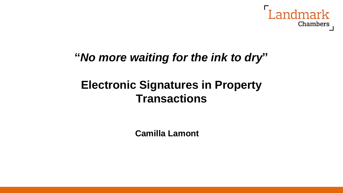

## **"***No more waiting for the ink to dry***"**

# **Electronic Signatures in Property Transactions**

**Camilla Lamont**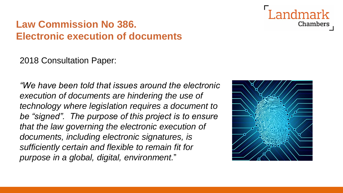Chambers

## **Law Commission No 386. Electronic execution of documents**

2018 Consultation Paper:

*"We have been told that issues around the electronic execution of documents are hindering the use of technology where legislation requires a document to be "signed". The purpose of this project is to ensure that the law governing the electronic execution of documents, including electronic signatures, is sufficiently certain and flexible to remain fit for purpose in a global, digital, environment.*"

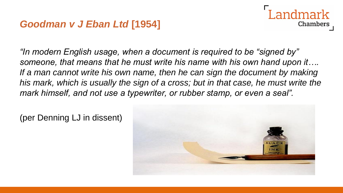#### *Goodman v J Eban Ltd* **[1954]**



*"In modern English usage, when a document is required to be "signed by" someone, that means that he must write his name with his own hand upon it…. If a man cannot write his own name, then he can sign the document by making his mark, which is usually the sign of a cross; but in that case, he must write the mark himself, and not use a typewriter, or rubber stamp, or even a seal".*

(per Denning LJ in dissent)

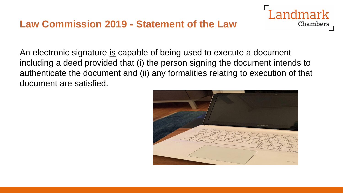

An electronic signature is capable of being used to execute a document including a deed provided that (i) the person signing the document intends to authenticate the document and (ii) any formalities relating to execution of that document are satisfied.

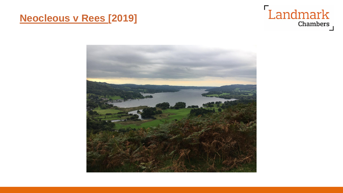#### **Neocleous v Rees [2019]**



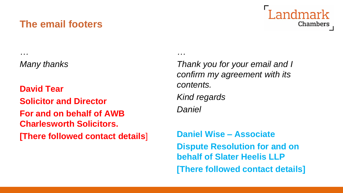#### **The email footers**



*Many thanks*

*…*

**David Tear Solicitor and Director For and on behalf of AWB Charlesworth Solicitors. [There followed contact details**]

*Thank you for your email and I confirm my agreement with its contents. Kind regards Daniel*

*…*

**Daniel Wise – Associate Dispute Resolution for and on behalf of Slater Heelis LLP [There followed contact details]**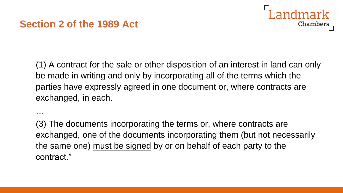#### **Section 2 of the 1989 Act**

…



(1) A contract for the sale or other disposition of an interest in land can only be made in writing and only by incorporating all of the terms which the parties have expressly agreed in one document or, where contracts are exchanged, in each.

(3) The documents incorporating the terms or, where contracts are exchanged, one of the documents incorporating them (but not necessarily the same one) must be signed by or on behalf of each party to the contract."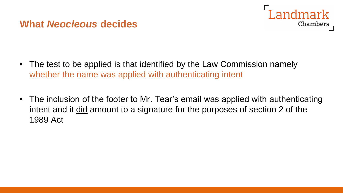#### **What** *Neocleous* **decides**



- The test to be applied is that identified by the Law Commission namely whether the name was applied with authenticating intent
- The inclusion of the footer to Mr. Tear's email was applied with authenticating intent and it did amount to a signature for the purposes of section 2 of the 1989 Act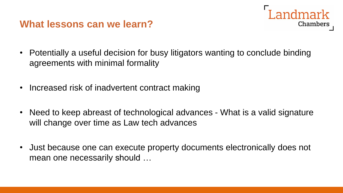#### **What lessons can we learn?**

• Potentially a useful decision for busy litigators wanting to conclude binding agreements with minimal formality

andmark

Chambers

- Increased risk of inadvertent contract making
- Need to keep abreast of technological advances What is a valid signature will change over time as Law tech advances
- Just because one can execute property documents electronically does not mean one necessarily should …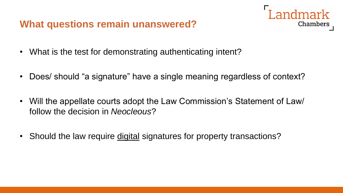#### **What questions remain unanswered?**



- What is the test for demonstrating authenticating intent?
- Does/ should "a signature" have a single meaning regardless of context?
- Will the appellate courts adopt the Law Commission's Statement of Law/ follow the decision in *Neocleous*?
- Should the law require digital signatures for property transactions?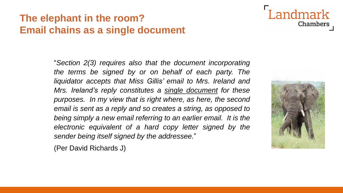## **The elephant in the room? Email chains as a single document**



(Per David Richards J)



**Landmark** 

**Chambers**